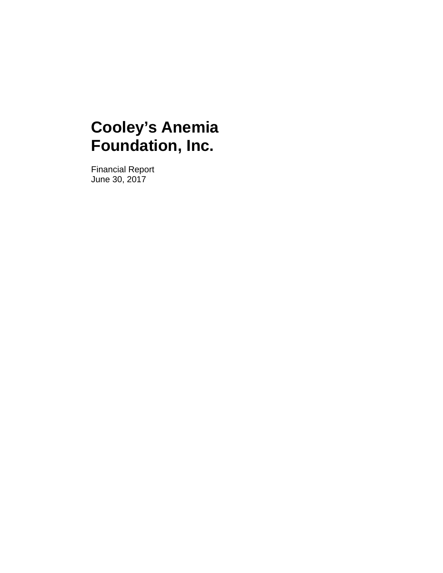Financial Report June 30, 2017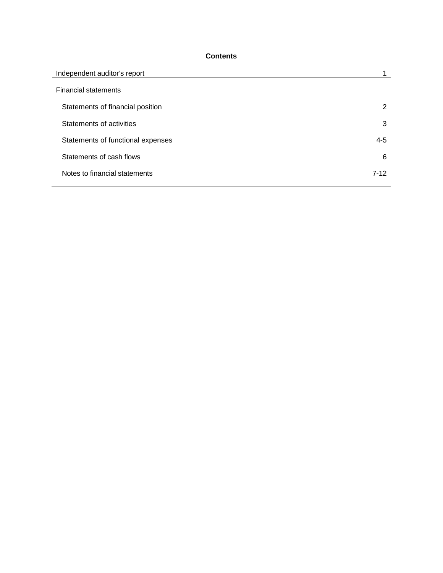## **Contents**

| Independent auditor's report      |         |
|-----------------------------------|---------|
| <b>Financial statements</b>       |         |
| Statements of financial position  | 2       |
| Statements of activities          | 3       |
| Statements of functional expenses | $4 - 5$ |
| Statements of cash flows          | 6       |
| Notes to financial statements     | $7-12$  |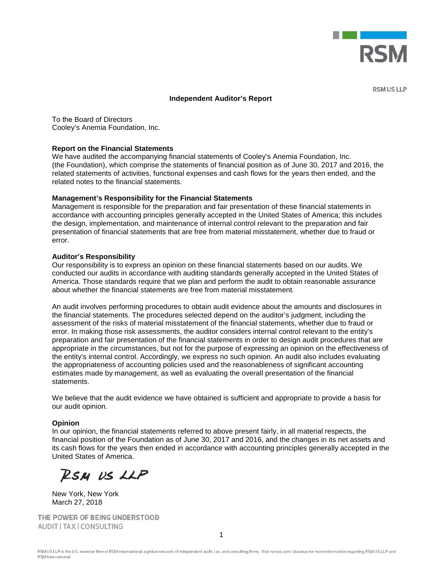

**RSM US LLP** 

#### **Independent Auditor's Report**

To the Board of Directors Cooley's Anemia Foundation, Inc.

#### **Report on the Financial Statements**

We have audited the accompanying financial statements of Cooley's Anemia Foundation, Inc. (the Foundation), which comprise the statements of financial position as of June 30, 2017 and 2016, the related statements of activities, functional expenses and cash flows for the years then ended, and the related notes to the financial statements.

#### **Management's Responsibility for the Financial Statements**

Management is responsible for the preparation and fair presentation of these financial statements in accordance with accounting principles generally accepted in the United States of America; this includes the design, implementation, and maintenance of internal control relevant to the preparation and fair presentation of financial statements that are free from material misstatement, whether due to fraud or error.

#### **Auditor's Responsibility**

Our responsibility is to express an opinion on these financial statements based on our audits. We conducted our audits in accordance with auditing standards generally accepted in the United States of America. Those standards require that we plan and perform the audit to obtain reasonable assurance about whether the financial statements are free from material misstatement.

An audit involves performing procedures to obtain audit evidence about the amounts and disclosures in the financial statements. The procedures selected depend on the auditor's judgment, including the assessment of the risks of material misstatement of the financial statements, whether due to fraud or error. In making those risk assessments, the auditor considers internal control relevant to the entity's preparation and fair presentation of the financial statements in order to design audit procedures that are appropriate in the circumstances, but not for the purpose of expressing an opinion on the effectiveness of the entity's internal control. Accordingly, we express no such opinion. An audit also includes evaluating the appropriateness of accounting policies used and the reasonableness of significant accounting estimates made by management, as well as evaluating the overall presentation of the financial statements.

We believe that the audit evidence we have obtained is sufficient and appropriate to provide a basis for our audit opinion.

#### **Opinion**

In our opinion, the financial statements referred to above present fairly, in all material respects, the financial position of the Foundation as of June 30, 2017 and 2016, and the changes in its net assets and its cash flows for the years then ended in accordance with accounting principles generally accepted in the United States of America.

RSM US LLP

New York, New York March 27, 2018

THE POWER OF BEING UNDERSTOOD **AUDIT | TAX | CONSULTING**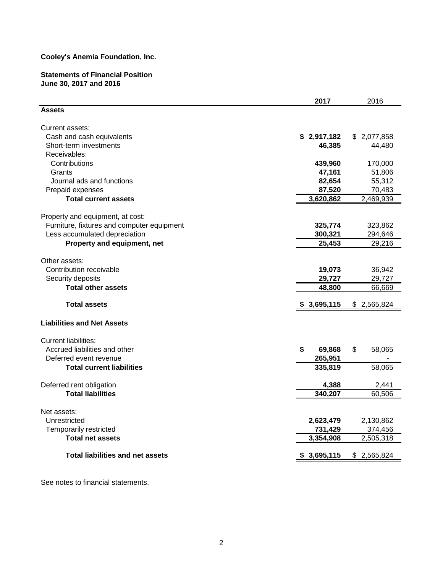#### **Statements of Financial Position June 30, 2017 and 2016**

|                                            | 2017             | 2016             |
|--------------------------------------------|------------------|------------------|
| Assets                                     |                  |                  |
| Current assets:                            |                  |                  |
| Cash and cash equivalents                  | \$2,917,182      | \$2,077,858      |
| Short-term investments                     | 46,385           | 44,480           |
| Receivables:                               |                  |                  |
| Contributions                              | 439,960          | 170,000          |
| Grants                                     | 47,161           | 51,806           |
| Journal ads and functions                  | 82,654           | 55,312           |
| Prepaid expenses                           | 87,520           | 70,483           |
| <b>Total current assets</b>                | 3,620,862        | 2,469,939        |
| Property and equipment, at cost:           |                  |                  |
| Furniture, fixtures and computer equipment | 325,774          | 323,862          |
| Less accumulated depreciation              | 300,321          | 294,646          |
| Property and equipment, net                | 25,453           | 29,216           |
| Other assets:                              |                  |                  |
| Contribution receivable                    |                  |                  |
| Security deposits                          | 19,073<br>29,727 | 36,942<br>29,727 |
| <b>Total other assets</b>                  | 48,800           | 66,669           |
|                                            |                  |                  |
| <b>Total assets</b>                        | \$3,695,115      | \$2,565,824      |
| <b>Liabilities and Net Assets</b>          |                  |                  |
| <b>Current liabilities:</b>                |                  |                  |
| Accrued liabilities and other              | \$<br>69,868     | \$<br>58,065     |
| Deferred event revenue                     | 265,951          |                  |
| <b>Total current liabilities</b>           | 335,819          | 58,065           |
| Deferred rent obligation                   | 4,388            | 2,441            |
| <b>Total liabilities</b>                   | 340,207          | 60,506           |
|                                            |                  |                  |
| Net assets:                                |                  |                  |
| Unrestricted                               | 2,623,479        | 2,130,862        |
| Temporarily restricted                     | 731,429          | 374,456          |
| <b>Total net assets</b>                    | 3,354,908        | 2,505,318        |
| <b>Total liabilities and net assets</b>    | \$3,695,115      | \$2,565,824      |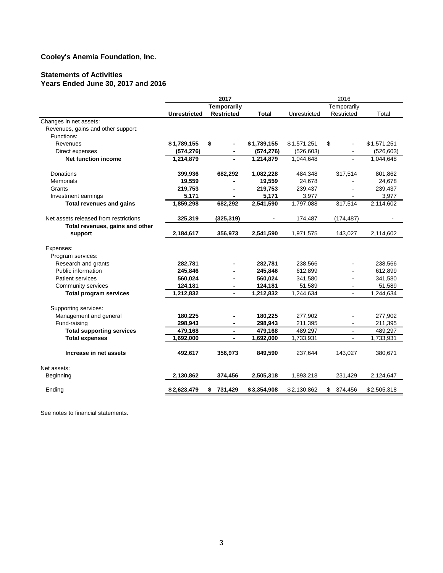#### **Statements of Activities Years Ended June 30, 2017 and 2016**

|                                       |                     | 2017              |              | 2016         |                |             |  |
|---------------------------------------|---------------------|-------------------|--------------|--------------|----------------|-------------|--|
|                                       | <b>Temporarily</b>  |                   |              | Temporarily  |                |             |  |
|                                       | <b>Unrestricted</b> | <b>Restricted</b> | <b>Total</b> | Unrestricted | Restricted     | Total       |  |
| Changes in net assets:                |                     |                   |              |              |                |             |  |
| Revenues, gains and other support:    |                     |                   |              |              |                |             |  |
| Functions:                            |                     |                   |              |              |                |             |  |
| Revenues                              | \$1,789,155         | \$                | \$1,789,155  | \$1,571,251  | S              | \$1,571,251 |  |
| Direct expenses                       | (574, 276)          |                   | (574, 276)   | (526, 603)   | $\blacksquare$ | (526, 603)  |  |
| <b>Net function income</b>            | 1,214,879           |                   | 1,214,879    | 1,044,648    |                | 1,044,648   |  |
| Donations                             | 399,936             | 682,292           | 1,082,228    | 484,348      | 317,514        | 801,862     |  |
| <b>Memorials</b>                      | 19,559              |                   | 19,559       | 24,678       |                | 24,678      |  |
| Grants                                | 219,753             |                   | 219,753      | 239,437      |                | 239,437     |  |
| Investment earnings                   | 5,171               |                   | 5,171        | 3,977        |                | 3,977       |  |
| Total revenues and gains              | 1,859,298           | 682,292           | 2,541,590    | 1,797,088    | 317,514        | 2,114,602   |  |
| Net assets released from restrictions | 325,319             | (325, 319)        |              | 174,487      | (174, 487)     |             |  |
| Total revenues, gains and other       |                     |                   |              |              |                |             |  |
| support                               | 2,184,617           | 356,973           | 2,541,590    | 1,971,575    | 143,027        | 2,114,602   |  |
| Expenses:                             |                     |                   |              |              |                |             |  |
| Program services:                     |                     |                   |              |              |                |             |  |
| Research and grants                   | 282,781             |                   | 282,781      | 238,566      |                | 238,566     |  |
| Public information                    | 245,846             |                   | 245,846      | 612,899      |                | 612,899     |  |
| <b>Patient services</b>               | 560,024             |                   | 560,024      | 341,580      |                | 341,580     |  |
| Community services                    | 124,181             |                   | 124,181      | 51,589       |                | 51,589      |  |
| <b>Total program services</b>         | 1,212,832           |                   | 1,212,832    | 1,244,634    |                | 1,244,634   |  |
| Supporting services:                  |                     |                   |              |              |                |             |  |
| Management and general                | 180,225             |                   | 180,225      | 277,902      |                | 277,902     |  |
| Fund-raising                          | 298,943             |                   | 298,943      | 211,395      |                | 211,395     |  |
| <b>Total supporting services</b>      | 479,168             |                   | 479,168      | 489,297      |                | 489,297     |  |
| <b>Total expenses</b>                 | 1,692,000           |                   | 1,692,000    | 1,733,931    |                | 1,733,931   |  |
| Increase in net assets                | 492,617             | 356,973           | 849,590      | 237,644      | 143,027        | 380,671     |  |
| Net assets:                           |                     |                   |              |              |                |             |  |
| Beginning                             | 2,130,862           | 374,456           | 2,505,318    | 1,893,218    | 231,429        | 2,124,647   |  |
| Ending                                | \$2,623,479         | 731,429<br>\$     | \$3,354,908  | \$2,130,862  | \$<br>374,456  | \$2,505,318 |  |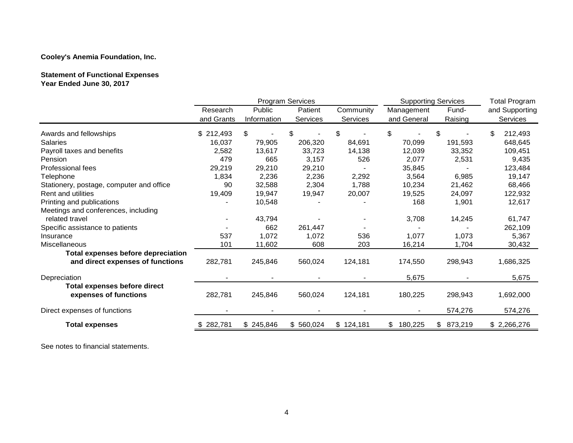# **Statement of Functional Expenses**

**Year Ended June 30, 2017**

|                                           |                                            |             | Program Services | <b>Supporting Services</b> |                |           | <b>Total Program</b> |
|-------------------------------------------|--------------------------------------------|-------------|------------------|----------------------------|----------------|-----------|----------------------|
|                                           | Research<br>Public<br>Patient<br>Community |             | Management       | Fund-                      | and Supporting |           |                      |
|                                           | and Grants                                 | Information | Services         | Services                   | and General    | Raising   | Services             |
| Awards and fellowships                    | \$212,493                                  | \$          | \$               |                            | \$             | \$        | 212,493<br>\$        |
| <b>Salaries</b>                           | 16,037                                     | 79,905      | 206,320          | 84,691                     | 70,099         | 191,593   | 648,645              |
| Payroll taxes and benefits                | 2,582                                      | 13,617      | 33,723           | 14,138                     | 12,039         | 33,352    | 109,451              |
| Pension                                   | 479                                        | 665         | 3,157            | 526                        | 2,077          | 2,531     | 9,435                |
| <b>Professional fees</b>                  | 29,219                                     | 29,210      | 29,210           |                            | 35,845         |           | 123,484              |
| Telephone                                 | 1,834                                      | 2,236       | 2,236            | 2,292                      | 3,564          | 6,985     | 19,147               |
| Stationery, postage, computer and office  | 90                                         | 32,588      | 2,304            | 1.788                      | 10,234         | 21,462    | 68,466               |
| <b>Rent and utilities</b>                 | 19,409                                     | 19,947      | 19,947           | 20,007                     | 19,525         | 24,097    | 122,932              |
| Printing and publications                 |                                            | 10,548      |                  |                            | 168            | 1,901     | 12,617               |
| Meetings and conferences, including       |                                            |             |                  |                            |                |           |                      |
| related travel                            |                                            | 43,794      |                  |                            | 3,708          | 14,245    | 61,747               |
| Specific assistance to patients           |                                            | 662         | 261,447          |                            |                |           | 262,109              |
| Insurance                                 | 537                                        | 1,072       | 1,072            | 536                        | 1,077          | 1,073     | 5,367                |
| Miscellaneous                             | 101                                        | 11,602      | 608              | 203                        | 16,214         | 1,704     | 30,432               |
| <b>Total expenses before depreciation</b> |                                            |             |                  |                            |                |           |                      |
| and direct expenses of functions          | 282,781                                    | 245,846     | 560,024          | 124,181                    | 174,550        | 298,943   | 1,686,325            |
| Depreciation                              |                                            |             |                  |                            | 5,675          |           | 5,675                |
| <b>Total expenses before direct</b>       |                                            |             |                  |                            |                |           |                      |
| expenses of functions                     | 282,781                                    | 245,846     | 560,024          | 124,181                    | 180,225        | 298,943   | 1,692,000            |
| Direct expenses of functions              |                                            |             |                  |                            |                | 574,276   | 574,276              |
| <b>Total expenses</b>                     | 282,781                                    | \$245,846   | \$560,024        | \$124,181                  | \$180,225      | \$873,219 | \$2,266,276          |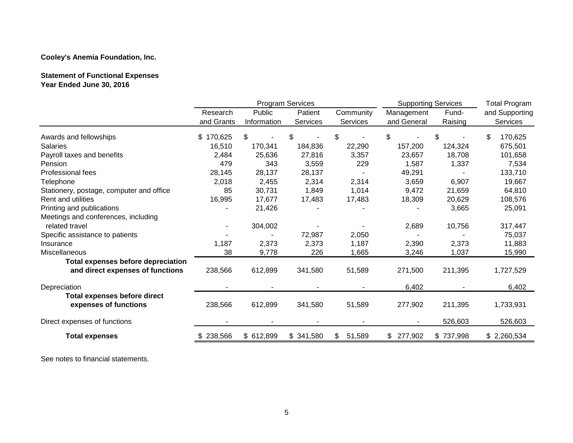# **Statement of Functional Expenses**

**Year Ended June 30, 2016**

|                                           |            |             | Program Services |              |             | <b>Supporting Services</b> |                |  |
|-------------------------------------------|------------|-------------|------------------|--------------|-------------|----------------------------|----------------|--|
|                                           | Research   | Public      | Patient          | Community    | Management  | Fund-                      | and Supporting |  |
|                                           | and Grants | Information | Services         | Services     | and General | Raising                    | Services       |  |
| Awards and fellowships                    | \$170,625  | \$          | \$               | \$           | \$          | S                          | 170,625<br>\$. |  |
| <b>Salaries</b>                           | 16,510     | 170,341     | 184,836          | 22,290       | 157,200     | 124,324                    | 675,501        |  |
| Payroll taxes and benefits                | 2,484      | 25,636      | 27,816           | 3,357        | 23,657      | 18,708                     | 101,658        |  |
| Pension                                   | 479        | 343         | 3,559            | 229          | 1,587       | 1,337                      | 7,534          |  |
| Professional fees                         | 28,145     | 28,137      | 28,137           |              | 49,291      |                            | 133,710        |  |
| Telephone                                 | 2,018      | 2,455       | 2,314            | 2,314        | 3,659       | 6,907                      | 19,667         |  |
| Stationery, postage, computer and office  | 85         | 30,731      | 1,849            | 1,014        | 9,472       | 21,659                     | 64,810         |  |
| Rent and utilities                        | 16,995     | 17,677      | 17,483           | 17,483       | 18,309      | 20,629                     | 108,576        |  |
| Printing and publications                 |            | 21,426      |                  |              |             | 3,665                      | 25,091         |  |
| Meetings and conferences, including       |            |             |                  |              |             |                            |                |  |
| related travel                            |            | 304,002     |                  |              | 2,689       | 10,756                     | 317,447        |  |
| Specific assistance to patients           |            |             | 72,987           | 2,050        |             |                            | 75,037         |  |
| Insurance                                 | 1,187      | 2,373       | 2,373            | 1,187        | 2,390       | 2,373                      | 11,883         |  |
| <b>Miscellaneous</b>                      | 38         | 9,778       | 226              | 1,665        | 3,246       | 1,037                      | 15,990         |  |
| <b>Total expenses before depreciation</b> |            |             |                  |              |             |                            |                |  |
| and direct expenses of functions          | 238,566    | 612,899     | 341,580          | 51,589       | 271,500     | 211,395                    | 1,727,529      |  |
| Depreciation                              |            |             |                  |              | 6,402       |                            | 6,402          |  |
| <b>Total expenses before direct</b>       |            |             |                  |              |             |                            |                |  |
| expenses of functions                     | 238,566    | 612,899     | 341,580          | 51,589       | 277,902     | 211,395                    | 1,733,931      |  |
| Direct expenses of functions              |            |             |                  |              |             | 526,603                    | 526,603        |  |
| <b>Total expenses</b>                     | 238,566    | \$612,899   | \$341,580        | 51,589<br>S. | \$277,902   | \$737,998                  | \$2,260,534    |  |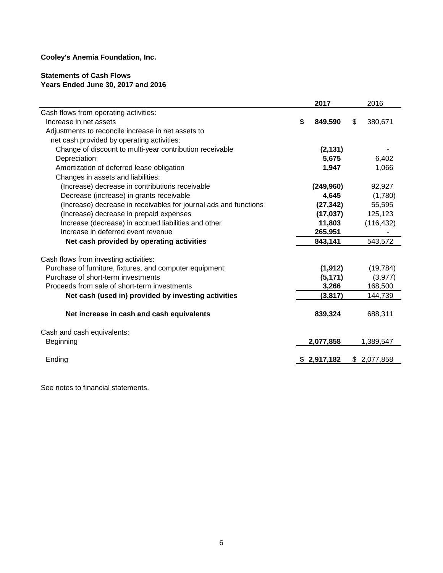#### **Statements of Cash Flows Years Ended June 30, 2017 and 2016**

|                                                                  | 2017          | 2016          |
|------------------------------------------------------------------|---------------|---------------|
| Cash flows from operating activities:                            |               |               |
| Increase in net assets                                           | \$<br>849,590 | \$<br>380,671 |
| Adjustments to reconcile increase in net assets to               |               |               |
| net cash provided by operating activities:                       |               |               |
| Change of discount to multi-year contribution receivable         | (2, 131)      |               |
| Depreciation                                                     | 5,675         | 6,402         |
| Amortization of deferred lease obligation                        | 1,947         | 1,066         |
| Changes in assets and liabilities:                               |               |               |
| (Increase) decrease in contributions receivable                  | (249,960)     | 92,927        |
| Decrease (increase) in grants receivable                         | 4,645         | (1,780)       |
| (Increase) decrease in receivables for journal ads and functions | (27, 342)     | 55,595        |
| (Increase) decrease in prepaid expenses                          | (17, 037)     | 125,123       |
| Increase (decrease) in accrued liabilities and other             | 11,803        | (116, 432)    |
| Increase in deferred event revenue                               | 265,951       |               |
| Net cash provided by operating activities                        | 843,141       | 543,572       |
|                                                                  |               |               |
| Cash flows from investing activities:                            |               |               |
| Purchase of furniture, fixtures, and computer equipment          | (1, 912)      | (19, 784)     |
| Purchase of short-term investments                               | (5, 171)      | (3,977)       |
| Proceeds from sale of short-term investments                     | 3,266         | 168,500       |
| Net cash (used in) provided by investing activities              | (3, 817)      | 144,739       |
| Net increase in cash and cash equivalents                        | 839,324       | 688,311       |
| Cash and cash equivalents:                                       |               |               |
| <b>Beginning</b>                                                 | 2,077,858     | 1,389,547     |
| Ending                                                           | 2,917,182     | \$ 2,077,858  |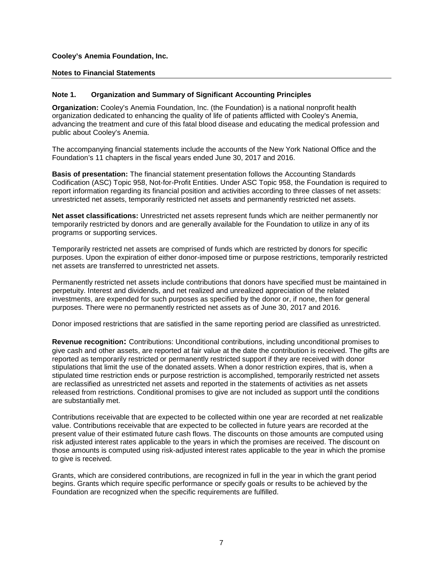#### **Notes to Financial Statements**

#### **Note 1. Organization and Summary of Significant Accounting Principles**

**Organization:** Cooley's Anemia Foundation, Inc. (the Foundation) is a national nonprofit health organization dedicated to enhancing the quality of life of patients afflicted with Cooley's Anemia, advancing the treatment and cure of this fatal blood disease and educating the medical profession and public about Cooley's Anemia.

The accompanying financial statements include the accounts of the New York National Office and the Foundation's 11 chapters in the fiscal years ended June 30, 2017 and 2016.

**Basis of presentation:** The financial statement presentation follows the Accounting Standards Codification (ASC) Topic 958, Not-for-Profit Entities. Under ASC Topic 958, the Foundation is required to report information regarding its financial position and activities according to three classes of net assets: unrestricted net assets, temporarily restricted net assets and permanently restricted net assets.

**Net asset classifications:** Unrestricted net assets represent funds which are neither permanently nor temporarily restricted by donors and are generally available for the Foundation to utilize in any of its programs or supporting services.

Temporarily restricted net assets are comprised of funds which are restricted by donors for specific purposes. Upon the expiration of either donor-imposed time or purpose restrictions, temporarily restricted net assets are transferred to unrestricted net assets.

Permanently restricted net assets include contributions that donors have specified must be maintained in perpetuity. Interest and dividends, and net realized and unrealized appreciation of the related investments, are expended for such purposes as specified by the donor or, if none, then for general purposes. There were no permanently restricted net assets as of June 30, 2017 and 2016.

Donor imposed restrictions that are satisfied in the same reporting period are classified as unrestricted.

**Revenue recognition:** Contributions: Unconditional contributions, including unconditional promises to give cash and other assets, are reported at fair value at the date the contribution is received. The gifts are reported as temporarily restricted or permanently restricted support if they are received with donor stipulations that limit the use of the donated assets. When a donor restriction expires, that is, when a stipulated time restriction ends or purpose restriction is accomplished, temporarily restricted net assets are reclassified as unrestricted net assets and reported in the statements of activities as net assets released from restrictions. Conditional promises to give are not included as support until the conditions are substantially met.

Contributions receivable that are expected to be collected within one year are recorded at net realizable value. Contributions receivable that are expected to be collected in future years are recorded at the present value of their estimated future cash flows. The discounts on those amounts are computed using risk adjusted interest rates applicable to the years in which the promises are received. The discount on those amounts is computed using risk-adjusted interest rates applicable to the year in which the promise to give is received.

Grants, which are considered contributions, are recognized in full in the year in which the grant period begins. Grants which require specific performance or specify goals or results to be achieved by the Foundation are recognized when the specific requirements are fulfilled.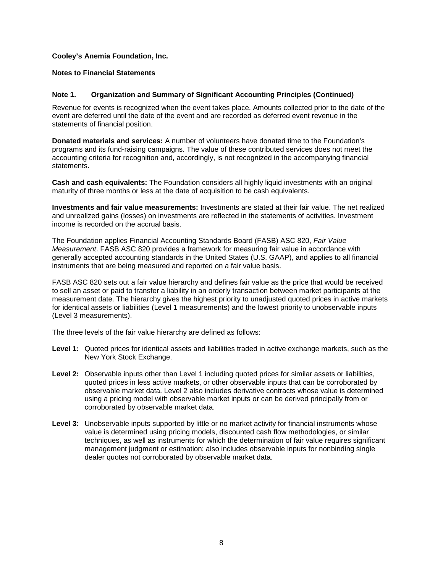#### **Notes to Financial Statements**

#### **Note 1. Organization and Summary of Significant Accounting Principles (Continued)**

Revenue for events is recognized when the event takes place. Amounts collected prior to the date of the event are deferred until the date of the event and are recorded as deferred event revenue in the statements of financial position.

**Donated materials and services:** A number of volunteers have donated time to the Foundation's programs and its fund-raising campaigns. The value of these contributed services does not meet the accounting criteria for recognition and, accordingly, is not recognized in the accompanying financial statements.

**Cash and cash equivalents:** The Foundation considers all highly liquid investments with an original maturity of three months or less at the date of acquisition to be cash equivalents.

**Investments and fair value measurements:** Investments are stated at their fair value. The net realized and unrealized gains (losses) on investments are reflected in the statements of activities. Investment income is recorded on the accrual basis.

The Foundation applies Financial Accounting Standards Board (FASB) ASC 820, *Fair Value Measurement*. FASB ASC 820 provides a framework for measuring fair value in accordance with generally accepted accounting standards in the United States (U.S. GAAP), and applies to all financial instruments that are being measured and reported on a fair value basis.

FASB ASC 820 sets out a fair value hierarchy and defines fair value as the price that would be received to sell an asset or paid to transfer a liability in an orderly transaction between market participants at the measurement date. The hierarchy gives the highest priority to unadjusted quoted prices in active markets for identical assets or liabilities (Level 1 measurements) and the lowest priority to unobservable inputs (Level 3 measurements).

The three levels of the fair value hierarchy are defined as follows:

- **Level 1:** Quoted prices for identical assets and liabilities traded in active exchange markets, such as the New York Stock Exchange.
- **Level 2:** Observable inputs other than Level 1 including quoted prices for similar assets or liabilities, quoted prices in less active markets, or other observable inputs that can be corroborated by observable market data. Level 2 also includes derivative contracts whose value is determined using a pricing model with observable market inputs or can be derived principally from or corroborated by observable market data.
- **Level 3:** Unobservable inputs supported by little or no market activity for financial instruments whose value is determined using pricing models, discounted cash flow methodologies, or similar techniques, as well as instruments for which the determination of fair value requires significant management judgment or estimation; also includes observable inputs for nonbinding single dealer quotes not corroborated by observable market data.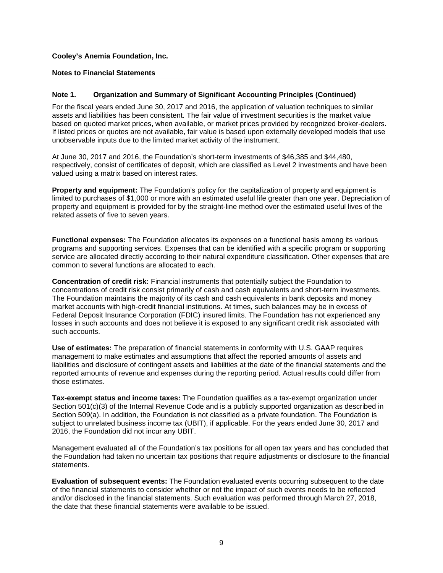#### **Notes to Financial Statements**

#### **Note 1. Organization and Summary of Significant Accounting Principles (Continued)**

For the fiscal years ended June 30, 2017 and 2016, the application of valuation techniques to similar assets and liabilities has been consistent. The fair value of investment securities is the market value based on quoted market prices, when available, or market prices provided by recognized broker-dealers. If listed prices or quotes are not available, fair value is based upon externally developed models that use unobservable inputs due to the limited market activity of the instrument.

At June 30, 2017 and 2016, the Foundation's short-term investments of \$46,385 and \$44,480, respectively, consist of certificates of deposit, which are classified as Level 2 investments and have been valued using a matrix based on interest rates.

**Property and equipment:** The Foundation's policy for the capitalization of property and equipment is limited to purchases of \$1,000 or more with an estimated useful life greater than one year. Depreciation of property and equipment is provided for by the straight-line method over the estimated useful lives of the related assets of five to seven years.

**Functional expenses:** The Foundation allocates its expenses on a functional basis among its various programs and supporting services. Expenses that can be identified with a specific program or supporting service are allocated directly according to their natural expenditure classification. Other expenses that are common to several functions are allocated to each.

**Concentration of credit risk:** Financial instruments that potentially subject the Foundation to concentrations of credit risk consist primarily of cash and cash equivalents and short-term investments. The Foundation maintains the majority of its cash and cash equivalents in bank deposits and money market accounts with high-credit financial institutions. At times, such balances may be in excess of Federal Deposit Insurance Corporation (FDIC) insured limits. The Foundation has not experienced any losses in such accounts and does not believe it is exposed to any significant credit risk associated with such accounts.

**Use of estimates:** The preparation of financial statements in conformity with U.S. GAAP requires management to make estimates and assumptions that affect the reported amounts of assets and liabilities and disclosure of contingent assets and liabilities at the date of the financial statements and the reported amounts of revenue and expenses during the reporting period. Actual results could differ from those estimates.

**Tax-exempt status and income taxes:** The Foundation qualifies as a tax-exempt organization under Section 501(c)(3) of the Internal Revenue Code and is a publicly supported organization as described in Section 509(a). In addition, the Foundation is not classified as a private foundation. The Foundation is subject to unrelated business income tax (UBIT), if applicable. For the years ended June 30, 2017 and 2016, the Foundation did not incur any UBIT.

Management evaluated all of the Foundation's tax positions for all open tax years and has concluded that the Foundation had taken no uncertain tax positions that require adjustments or disclosure to the financial statements.

**Evaluation of subsequent events:** The Foundation evaluated events occurring subsequent to the date of the financial statements to consider whether or not the impact of such events needs to be reflected and/or disclosed in the financial statements. Such evaluation was performed through March 27, 2018, the date that these financial statements were available to be issued.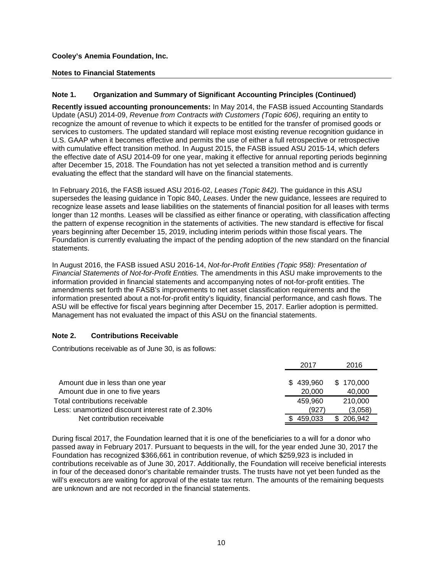#### **Notes to Financial Statements**

#### **Note 1. Organization and Summary of Significant Accounting Principles (Continued)**

**Recently issued accounting pronouncements:** In May 2014, the FASB issued Accounting Standards Update (ASU) 2014-09, *Revenue from Contracts with Customers (Topic 606)*, requiring an entity to recognize the amount of revenue to which it expects to be entitled for the transfer of promised goods or services to customers. The updated standard will replace most existing revenue recognition guidance in U.S. GAAP when it becomes effective and permits the use of either a full retrospective or retrospective with cumulative effect transition method. In August 2015, the FASB issued ASU 2015-14, which defers the effective date of ASU 2014-09 for one year, making it effective for annual reporting periods beginning after December 15, 2018. The Foundation has not yet selected a transition method and is currently evaluating the effect that the standard will have on the financial statements.

In February 2016, the FASB issued ASU 2016-02, *Leases (Topic 842)*. The guidance in this ASU supersedes the leasing guidance in Topic 840, *Leases*. Under the new guidance, lessees are required to recognize lease assets and lease liabilities on the statements of financial position for all leases with terms longer than 12 months. Leases will be classified as either finance or operating, with classification affecting the pattern of expense recognition in the statements of activities. The new standard is effective for fiscal years beginning after December 15, 2019, including interim periods within those fiscal years. The Foundation is currently evaluating the impact of the pending adoption of the new standard on the financial statements.

In August 2016, the FASB issued ASU 2016-14, *Not-for-Profit Entities (Topic 958): Presentation of Financial Statements of Not-for-Profit Entities.* The amendments in this ASU make improvements to the information provided in financial statements and accompanying notes of not-for-profit entities. The amendments set forth the FASB's improvements to net asset classification requirements and the information presented about a not-for-profit entity's liquidity, financial performance, and cash flows. The ASU will be effective for fiscal years beginning after December 15, 2017. Earlier adoption is permitted. Management has not evaluated the impact of this ASU on the financial statements.

#### **Note 2. Contributions Receivable**

Contributions receivable as of June 30, is as follows:

|                                                   | 2017      | 2016      |
|---------------------------------------------------|-----------|-----------|
|                                                   |           |           |
| Amount due in less than one year                  | \$439,960 | \$170,000 |
| Amount due in one to five years                   | 20,000    | 40,000    |
| Total contributions receivable                    | 459.960   | 210,000   |
| Less: unamortized discount interest rate of 2.30% | (927)     | (3,058)   |
| Net contribution receivable                       | 459.033   | 206,942   |

During fiscal 2017, the Foundation learned that it is one of the beneficiaries to a will for a donor who passed away in February 2017. Pursuant to bequests in the will, for the year ended June 30, 2017 the Foundation has recognized \$366,661 in contribution revenue, of which \$259,923 is included in contributions receivable as of June 30, 2017. Additionally, the Foundation will receive beneficial interests in four of the deceased donor's charitable remainder trusts. The trusts have not yet been funded as the will's executors are waiting for approval of the estate tax return. The amounts of the remaining bequests are unknown and are not recorded in the financial statements.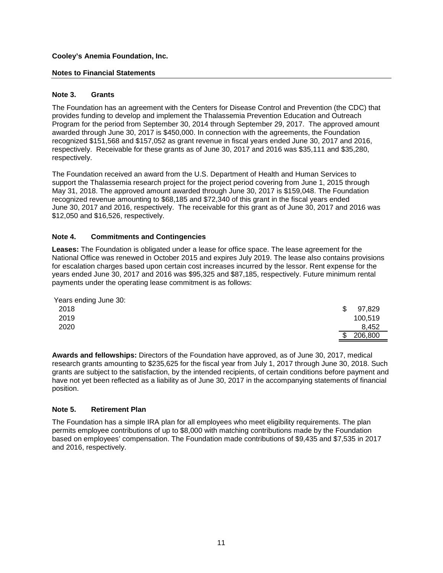#### **Notes to Financial Statements**

#### **Note 3. Grants**

The Foundation has an agreement with the Centers for Disease Control and Prevention (the CDC) that provides funding to develop and implement the Thalassemia Prevention Education and Outreach Program for the period from September 30, 2014 through September 29, 2017. The approved amount awarded through June 30, 2017 is \$450,000. In connection with the agreements, the Foundation recognized \$151,568 and \$157,052 as grant revenue in fiscal years ended June 30, 2017 and 2016, respectively. Receivable for these grants as of June 30, 2017 and 2016 was \$35,111 and \$35,280, respectively.

The Foundation received an award from the U.S. Department of Health and Human Services to support the Thalassemia research project for the project period covering from June 1, 2015 through May 31, 2018. The approved amount awarded through June 30, 2017 is \$159,048. The Foundation recognized revenue amounting to \$68,185 and \$72,340 of this grant in the fiscal years ended June 30, 2017 and 2016, respectively. The receivable for this grant as of June 30, 2017 and 2016 was \$12,050 and \$16,526, respectively.

#### **Note 4. Commitments and Contingencies**

**Leases:** The Foundation is obligated under a lease for office space. The lease agreement for the National Office was renewed in October 2015 and expires July 2019. The lease also contains provisions for escalation charges based upon certain cost increases incurred by the lessor. Rent expense for the years ended June 30, 2017 and 2016 was \$95,325 and \$87,185, respectively. Future minimum rental payments under the operating lease commitment is as follows:

| Years ending June 30: |                      |
|-----------------------|----------------------|
| 2018                  | 97,829               |
| 2019                  | 100,519              |
| 2020                  | 8,452                |
|                       | $\bullet$<br>206,800 |

**Awards and fellowships:** Directors of the Foundation have approved, as of June 30, 2017, medical research grants amounting to \$235,625 for the fiscal year from July 1, 2017 through June 30, 2018. Such grants are subject to the satisfaction, by the intended recipients, of certain conditions before payment and have not yet been reflected as a liability as of June 30, 2017 in the accompanying statements of financial position.

#### **Note 5. Retirement Plan**

The Foundation has a simple IRA plan for all employees who meet eligibility requirements. The plan permits employee contributions of up to \$8,000 with matching contributions made by the Foundation based on employees' compensation. The Foundation made contributions of \$9,435 and \$7,535 in 2017 and 2016, respectively.